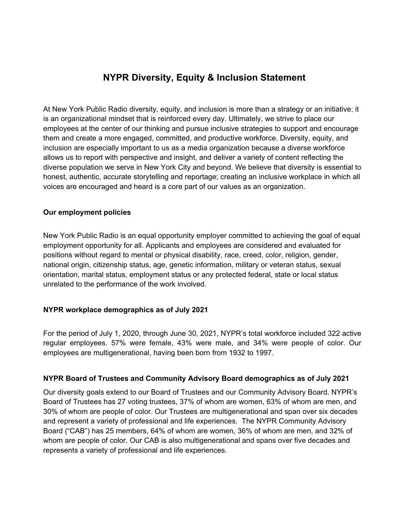# **NYPR Diversity, Equity & Inclusion Statement**

At New York Public Radio diversity, equity, and inclusion is more than a strategy or an initiative; it is an organizational mindset that is reinforced every day. Ultimately, we strive to place our employees at the center of our thinking and pursue inclusive strategies to support and encourage them and create a more engaged, committed, and productive workforce. Diversity, equity, and inclusion are especially important to us as a media organization because a diverse workforce allows us to report with perspective and insight, and deliver a variety of content reflecting the diverse population we serve in New York City and beyond. We believe that diversity is essential to honest, authentic, accurate storytelling and reportage; creating an inclusive workplace in which all voices are encouraged and heard is a core part of our values as an organization.

#### **Our employment policies**

New York Public Radio is an equal opportunity employer committed to achieving the goal of equal employment opportunity for all. Applicants and employees are considered and evaluated for positions without regard to mental or physical disability, race, creed, color, religion, gender, national origin, citizenship status, age, genetic information, military or veteran status, sexual orientation, marital status, employment status or any protected federal, state or local status unrelated to the performance of the work involved.

#### **NYPR workplace demographics as of July 2021**

For the period of July 1, 2020, through June 30, 2021, NYPR's total workforce included 322 active regular employees. 57% were female, 43% were male, and 34% were people of color. Our employees are multigenerational, having been born from 1932 to 1997.

#### **NYPR Board of Trustees and Community Advisory Board demographics as of July 2021**

Our diversity goals extend to our Board of Trustees and our Community Advisory Board. NYPR's Board of Trustees has 27 voting trustees, 37% of whom are women, 63% of whom are men, and 30% of whom are people of color. Our Trustees are multigenerational and span over six decades and represent a variety of professional and life experiences. The NYPR Community Advisory Board ("CAB") has 25 members, 64% of whom are women, 36% of whom are men, and 32% of whom are people of color. Our CAB is also multigenerational and spans over five decades and represents a variety of professional and life experiences.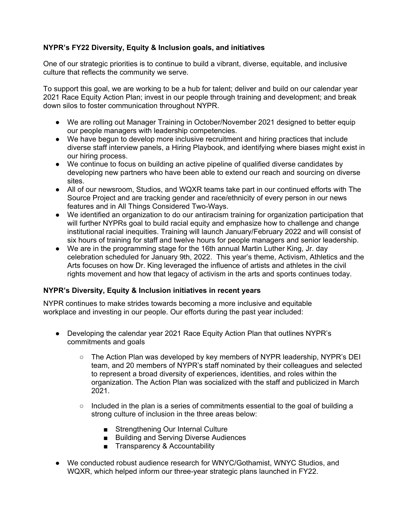## **NYPR's FY22 Diversity, Equity & Inclusion goals, and initiatives**

One of our strategic priorities is to continue to build a vibrant, diverse, equitable, and inclusive culture that reflects the community we serve.

To support this goal, we are working to be a hub for talent; deliver and build on our calendar year 2021 Race Equity Action Plan; invest in our people through training and development; and break down silos to foster communication throughout NYPR.

- We are rolling out Manager Training in October/November 2021 designed to better equip our people managers with leadership competencies.
- We have begun to develop more inclusive recruitment and hiring practices that include diverse staff interview panels, a Hiring Playbook, and identifying where biases might exist in our hiring process.
- We continue to focus on building an active pipeline of qualified diverse candidates by developing new partners who have been able to extend our reach and sourcing on diverse sites.
- All of our newsroom, Studios, and WQXR teams take part in our continued efforts with The Source Project and are tracking gender and race/ethnicity of every person in our news features and in All Things Considered Two-Ways.
- We identified an organization to do our antiracism training for organization participation that will further NYPRs goal to build racial equity and emphasize how to challenge and change institutional racial inequities. Training will launch January/February 2022 and will consist of six hours of training for staff and twelve hours for people managers and senior leadership.
- We are in the programming stage for the 16th annual Martin Luther King, Jr. day celebration scheduled for January 9th, 2022. This year's theme, Activism, Athletics and the Arts focuses on how Dr. King leveraged the influence of artists and athletes in the civil rights movement and how that legacy of activism in the arts and sports continues today.

### **NYPR's Diversity, Equity & Inclusion initiatives in recent years**

NYPR continues to make strides towards becoming a more inclusive and equitable workplace and investing in our people. Our efforts during the past year included:

- Developing the calendar year 2021 Race Equity Action Plan that outlines NYPR's commitments and goals
	- The Action Plan was developed by key members of NYPR leadership, NYPR's DEI team, and 20 members of NYPR's staff nominated by their colleagues and selected to represent a broad diversity of experiences, identities, and roles within the organization. The Action Plan was socialized with the staff and publicized in March 2021.
	- $\circ$  Included in the plan is a series of commitments essential to the goal of building a strong culture of inclusion in the three areas below:
		- Strengthening Our Internal Culture
		- Building and Serving Diverse Audiences
		- Transparency & Accountability
- We conducted robust audience research for WNYC/Gothamist, WNYC Studios, and WQXR, which helped inform our three-year strategic plans launched in FY22.